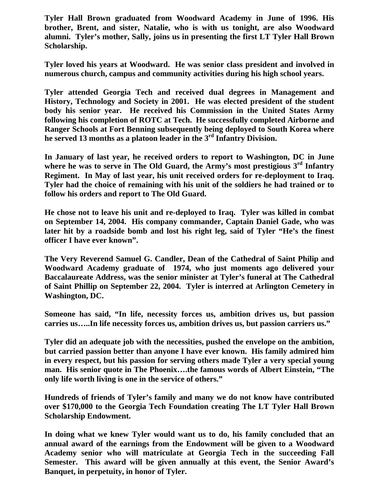**Tyler Hall Brown graduated from Woodward Academy in June of 1996. His brother, Brent, and sister, Natalie, who is with us tonight, are also Woodward alumni. Tyler's mother, Sally, joins us in presenting the first LT Tyler Hall Brown Scholarship.** 

**Tyler loved his years at Woodward. He was senior class president and involved in numerous church, campus and community activities during his high school years.** 

**Tyler attended Georgia Tech and received dual degrees in Management and History, Technology and Society in 2001. He was elected president of the student body his senior year. He received his Commission in the United States Army following his completion of ROTC at Tech. He successfully completed Airborne and Ranger Schools at Fort Benning subsequently being deployed to South Korea where he served 13 months as a platoon leader in the 3rd Infantry Division.** 

**In January of last year, he received orders to report to Washington, DC in June**  where he was to serve in The Old Guard, the Army's most prestigious 3<sup>rd</sup> Infantry **Regiment. In May of last year, his unit received orders for re-deployment to Iraq. Tyler had the choice of remaining with his unit of the soldiers he had trained or to follow his orders and report to The Old Guard.** 

**He chose not to leave his unit and re-deployed to Iraq. Tyler was killed in combat on September 14, 2004. His company commander, Captain Daniel Gade, who was later hit by a roadside bomb and lost his right leg, said of Tyler "He's the finest officer I have ever known".** 

**The Very Reverend Samuel G. Candler, Dean of the Cathedral of Saint Philip and Woodward Academy graduate of 1974, who just moments ago delivered your Baccalaureate Address, was the senior minister at Tyler's funeral at The Cathedral of Saint Phillip on September 22, 2004. Tyler is interred at Arlington Cemetery in Washington, DC.** 

**Someone has said, "In life, necessity forces us, ambition drives us, but passion carries us…..In life necessity forces us, ambition drives us, but passion carriers us."** 

**Tyler did an adequate job with the necessities, pushed the envelope on the ambition, but carried passion better than anyone I have ever known. His family admired him in every respect, but his passion for serving others made Tyler a very special young man. His senior quote in The Phoenix….the famous words of Albert Einstein, "The only life worth living is one in the service of others."** 

**Hundreds of friends of Tyler's family and many we do not know have contributed over \$170,000 to the Georgia Tech Foundation creating The LT Tyler Hall Brown Scholarship Endowment.** 

**In doing what we knew Tyler would want us to do, his family concluded that an annual award of the earnings from the Endowment will be given to a Woodward Academy senior who will matriculate at Georgia Tech in the succeeding Fall Semester. This award will be given annually at this event, the Senior Award's Banquet, in perpetuity, in honor of Tyler.**